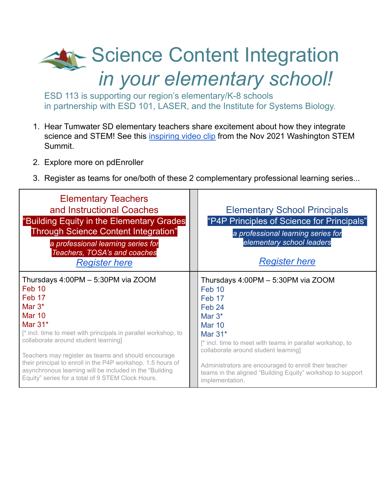## Science Content Integration *in your elementary school!*

ESD 113 is supporting our region's elementary/K-8 schools in partnership with ESD 101, LASER, and the Institute for Systems Biology.

- 1. Hear Tumwater SD elementary teachers share excitement about how they integrate science and STEM! See this [inspiring](https://drive.google.com/file/d/113xRzRaZcLwVRM8x3VWUlez4b8Jb-Mpy/view?usp=sharing)) video clip from the Nov 2021 Washington STEM Summit.
- 2. Explore more on pdEnroller
- 3. Register as teams for one/both of these 2 complementary professional learning series...

| <b>Elementary Teachers</b><br>and Instructional Coaches<br>"Building Equity in the Elementary Grades<br>Through Science Content Integration"<br>a professional learning series for<br>Teachers, TOSA's and coaches<br><b>Register here</b> | <b>Elementary School Principals</b><br>"P4P Principles of Science for Principals"<br>a professional learning series for<br>elementary school leaders<br><b>Register here</b> |
|--------------------------------------------------------------------------------------------------------------------------------------------------------------------------------------------------------------------------------------------|------------------------------------------------------------------------------------------------------------------------------------------------------------------------------|
| Thursdays 4:00PM - 5:30PM via ZOOM                                                                                                                                                                                                         | Thursdays 4:00PM - 5:30PM via ZOOM                                                                                                                                           |
| Feb 10                                                                                                                                                                                                                                     | Feb 10                                                                                                                                                                       |
| Feb 17                                                                                                                                                                                                                                     | Feb 17                                                                                                                                                                       |
| Mar $3^*$                                                                                                                                                                                                                                  | Feb <sub>24</sub>                                                                                                                                                            |
| <b>Mar 10</b>                                                                                                                                                                                                                              | Mar $3*$                                                                                                                                                                     |
| Mar $31*$                                                                                                                                                                                                                                  | <b>Mar 10</b>                                                                                                                                                                |
| [* incl. time to meet with principals in parallel workshop, to                                                                                                                                                                             | Mar $31*$                                                                                                                                                                    |
| collaborate around student learning]                                                                                                                                                                                                       | [* incl. time to meet with teams in parallel workshop, to                                                                                                                    |
| Teachers may register as teams and should encourage                                                                                                                                                                                        | collaborate around student learning]                                                                                                                                         |
| their principal to enroll in the P4P workshop. 1.5 hours of                                                                                                                                                                                | Administrators are encouraged to enroll their teacher                                                                                                                        |
| asynchronous learning will be included in the "Building                                                                                                                                                                                    | teams in the aligned "Building Equity" workshop to support                                                                                                                   |
| Equity" series for a total of 9 STEM Clock Hours.                                                                                                                                                                                          | implementation.                                                                                                                                                              |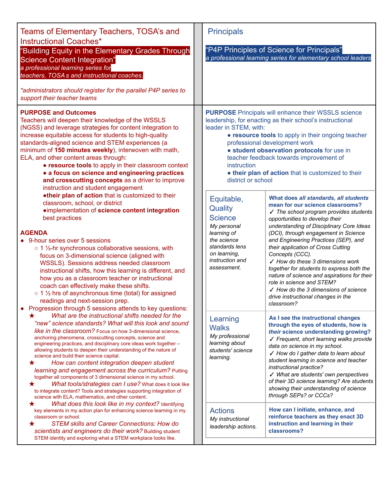| Teams of Elementary Teachers, TOSA's and<br><b>Instructional Coaches*</b><br>"Building Equity in the Elementary Grades Through<br><b>Science Content Integration"</b><br>a professional learning series for<br>teachers, TOSA s and instructional coaches.<br>*administrators should register for the parallel P4P series to<br>support their teacher teams                                                                                                                                                                                                                                                                                                                                                                                                                                           | <b>Principals</b><br>"P4P Principles of Science for Principals"<br>a professional learning series for elementary school leaders                                                                                                                                                                                                                                                                                                                                                                                                                                                                                                                                                                                                                                                       |
|-------------------------------------------------------------------------------------------------------------------------------------------------------------------------------------------------------------------------------------------------------------------------------------------------------------------------------------------------------------------------------------------------------------------------------------------------------------------------------------------------------------------------------------------------------------------------------------------------------------------------------------------------------------------------------------------------------------------------------------------------------------------------------------------------------|---------------------------------------------------------------------------------------------------------------------------------------------------------------------------------------------------------------------------------------------------------------------------------------------------------------------------------------------------------------------------------------------------------------------------------------------------------------------------------------------------------------------------------------------------------------------------------------------------------------------------------------------------------------------------------------------------------------------------------------------------------------------------------------|
| <b>PURPOSE and Outcomes</b><br>Teachers will deepen their knowledge of the WSSLS<br>(NGSS) and leverage strategies for content integration to<br>increase equitable access for students to high-quality<br>standards-aligned science and STEM experiences (a<br>minimum of 150 minutes weekly), interwoven with math,<br>ELA, and other content areas through:<br>• resource tools to apply in their classroom context<br>• a focus on science and engineering practices<br>and crosscutting concepts as a driver to improve<br>instruction and student engagement                                                                                                                                                                                                                                    | <b>PURPOSE</b> Principals will enhance their WSSLS science<br>leadership, for enacting as their school's instructional<br>leader in STEM, with:<br>• resource tools to apply in their ongoing teacher<br>professional development work<br>· student observation protocols for use in<br>teacher feedback towards improvement of<br>instruction<br>. their plan of action that is customized to their<br>district or school                                                                                                                                                                                                                                                                                                                                                            |
| .their plan of action that is customized to their<br>classroom, school, or district<br>·implementation of science content integration<br>best practices<br><b>AGENDA</b><br>9-hour series over 5 sessions<br>o 1 1/2-hr synchronous collaborative sessions, with<br>focus on 3-dimensional science (aligned with<br>WSSLS). Sessions address needed classroom<br>instructional shifts, how this learning is different, and<br>how you as a classroom teacher or instructional<br>coach can effectively make these shifts.<br>o 1 1/2 hrs of asynchronous time (total) for assigned<br>readings and next-session prep.<br>Progression through 5 sessions attends to key questions:                                                                                                                     | What does all standards, all students<br>Equitable,<br>mean for our science classrooms?<br>Quality<br>√ The school program provides students<br><b>Science</b><br>opportunities to develop their<br>My personal<br>understanding of Disciplinary Core Ideas<br>learning of<br>(DCI), through engagement in Science<br>the science<br>and Engineering Practices (SEP), and<br>standards lens<br>their application of Cross Cutting<br>on learning,<br>Concepts (CCC).<br>instruction and<br>$\checkmark$ How do these 3 dimensions work<br>assessment.<br>together for students to express both the<br>nature of science and aspirations for their<br>role in science and STEM?<br>$\checkmark$ How do the 3 dimensions of science<br>drive instructional changes in the<br>classroom? |
| What are the instructional shifts needed for the<br>"new" science standards? What will this look and sound<br>like in the classroom? Focus on how 3-dimensional science,<br>anchoring phenomena, crosscutting concepts, science and<br>engineering practices, and disciplinary core ideas work together -<br>allowing students to deepen their understanding of the nature of<br>science and build their science capital.<br>How can content integration deepen student<br>★<br>learning and engagement across the curriculum? Putting<br>together all components of 3 dimensional science in my school.<br>What tools/strategies can I use? What does it look like<br>★<br>to integrate content? Tools and strategies supporting integration of<br>science with ELA, mathematics, and other content. | As I see the instructional changes<br>Learning<br>through the eyes of students, how is<br><b>Walks</b><br>their science understanding growing?<br>My professional<br>√ Frequent, short learning walks provide<br>learning about<br>data on science in my school.<br>students' science<br>√ How do I gather data to learn about<br>learning.<br>student learning in science and teacher<br>instructional practice?<br>√ What are students' own perspectives<br>of their 3D science learning? Are students<br>showing their understanding of science<br>through SEPs? or CCCs?                                                                                                                                                                                                          |
| What does this look like in my context? Identifying<br>★<br>key elements in my action plan for enhancing science learning in my<br>classroom or school.<br><b>STEM skills and Career Connections: How do</b><br>★<br>scientists and engineers do their work? Building student<br>STEM identity and exploring what a STEM workplace looks like.                                                                                                                                                                                                                                                                                                                                                                                                                                                        | How can I initiate, enhance, and<br><b>Actions</b><br>reinforce teachers as they enact 3D<br>My instructional<br>instruction and learning in their<br>leadership actions.<br>classrooms?                                                                                                                                                                                                                                                                                                                                                                                                                                                                                                                                                                                              |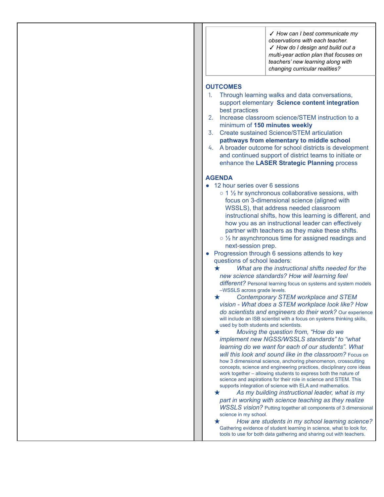✓ *How can I best communicate my observations with each teacher.* ✓ *How do I design and build out a multi-year action plan that focuses on teachers' new learning along with changing curricular realities?*

## **OUTCOMES**

- 1. Through learning walks and data conversations, support elementary **Science content integration** best practices
- 2. Increase classroom science/STEM instruction to a minimum of **150 minutes weekly**
- 3. Create sustained Science/STEM articulation **pathways from elementary to middle school**
- 4. A broader outcome for school districts is development and continued support of district teams to initiate or enhance the **LASER Strategic Planning** process

## **AGENDA**

- 12 hour series over 6 sessions
	- $\circ$  1  $\frac{1}{2}$  hr synchronous collaborative sessions, with focus on 3-dimensional science (aligned with WSSLS), that address needed classroom instructional shifts, how this learning is different, and how you as an instructional leader can effectively partner with teachers as they make these shifts.
	- $\circ$  1/<sub>2</sub> hr asynchronous time for assigned readings and next-session prep.
- Progression through 6 sessions attends to key questions of school leaders:
	- ★ *What are the instructional shifts needed for the new science standards? How will learning feel different?* Personal learning focus on systems and system models –WSSLS across grade levels.
	- ★ *Contemporary STEM workplace and STEM vision - What does a STEM workplace look like? How do scientists and engineers do their work?* Our experience will include an ISB scientist with a focus on systems thinking skills, used by both students and scientists.
	- ★ *Moving the question from, "How do we implement new NGSS/WSSLS standards" to "what learning do we want for each of our students". What will this look and sound like in the classroom?* Focus on how 3 dimensional science, anchoring phenomenon, crosscutting concepts, science and engineering practices, disciplinary core ideas work together – allowing students to express both the nature of science and aspirations for their role in science and STEM. This supports integration of science with ELA and mathematics.
	- ★ *As my building instructional leader, what is my part in working with science teaching as they realize WSSLS vision?* Putting together all components of 3 dimensional science in my school.

★ *How are students in my school learning science?* Gathering evidence of student learning in science, what to look for, tools to use for both data gathering and sharing out with teachers.